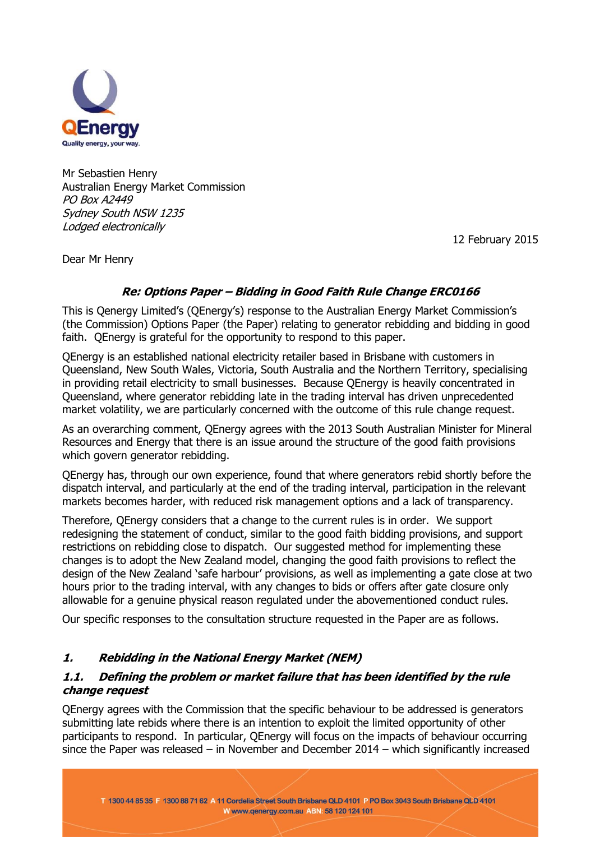

Mr Sebastien Henry Australian Energy Market Commission PO Box A2449 Sydney South NSW 1235 Lodged electronically

12 February 2015

Dear Mr Henry

## **Re: Options Paper – Bidding in Good Faith Rule Change ERC0166**

This is Qenergy Limited's (QEnergy's) response to the Australian Energy Market Commission's (the Commission) Options Paper (the Paper) relating to generator rebidding and bidding in good faith. QEnergy is grateful for the opportunity to respond to this paper.

QEnergy is an established national electricity retailer based in Brisbane with customers in Queensland, New South Wales, Victoria, South Australia and the Northern Territory, specialising in providing retail electricity to small businesses. Because QEnergy is heavily concentrated in Queensland, where generator rebidding late in the trading interval has driven unprecedented market volatility, we are particularly concerned with the outcome of this rule change request.

As an overarching comment, QEnergy agrees with the 2013 South Australian Minister for Mineral Resources and Energy that there is an issue around the structure of the good faith provisions which govern generator rebidding.

QEnergy has, through our own experience, found that where generators rebid shortly before the dispatch interval, and particularly at the end of the trading interval, participation in the relevant markets becomes harder, with reduced risk management options and a lack of transparency.

Therefore, QEnergy considers that a change to the current rules is in order. We support redesigning the statement of conduct, similar to the good faith bidding provisions, and support restrictions on rebidding close to dispatch. Our suggested method for implementing these changes is to adopt the New Zealand model, changing the good faith provisions to reflect the design of the New Zealand 'safe harbour' provisions, as well as implementing a gate close at two hours prior to the trading interval, with any changes to bids or offers after gate closure only allowable for a genuine physical reason regulated under the abovementioned conduct rules.

Our specific responses to the consultation structure requested in the Paper are as follows.

# **1. Rebidding in the National Energy Market (NEM)**

#### **1.1. Defining the problem or market failure that has been identified by the rule change request**

QEnergy agrees with the Commission that the specific behaviour to be addressed is generators submitting late rebids where there is an intention to exploit the limited opportunity of other participants to respond. In particular, QEnergy will focus on the impacts of behaviour occurring since the Paper was released – in November and December 2014 – which significantly increased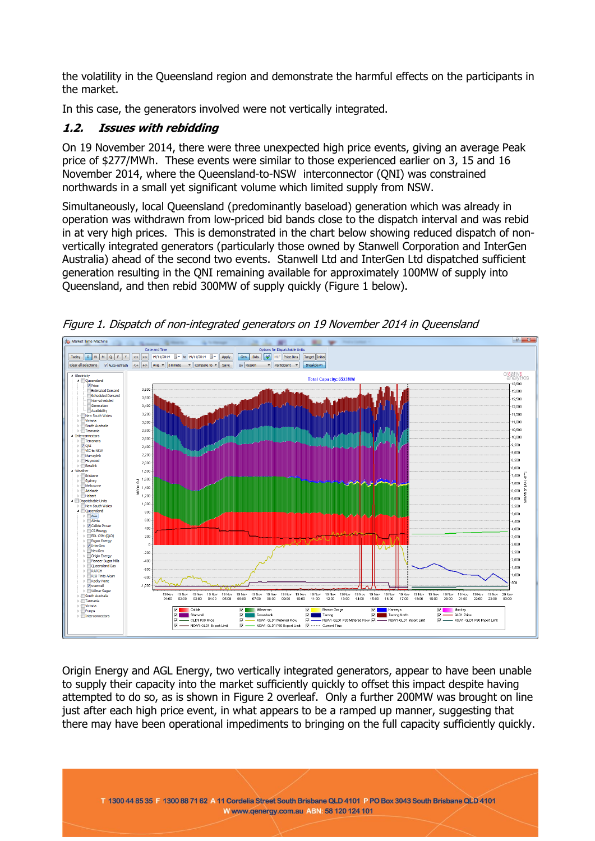the volatility in the Queensland region and demonstrate the harmful effects on the participants in the market.

In this case, the generators involved were not vertically integrated.

## **1.2. Issues with rebidding**

On 19 November 2014, there were three unexpected high price events, giving an average Peak price of \$277/MWh. These events were similar to those experienced earlier on 3, 15 and 16 November 2014, where the Queensland-to-NSW interconnector (QNI) was constrained northwards in a small yet significant volume which limited supply from NSW.

Simultaneously, local Queensland (predominantly baseload) generation which was already in operation was withdrawn from low-priced bid bands close to the dispatch interval and was rebid in at very high prices. This is demonstrated in the chart below showing reduced dispatch of nonvertically integrated generators (particularly those owned by Stanwell Corporation and InterGen Australia) ahead of the second two events. Stanwell Ltd and InterGen Ltd dispatched sufficient generation resulting in the QNI remaining available for approximately 100MW of supply into Queensland, and then rebid 300MW of supply quickly (Figure 1 below).



Figure 1. Dispatch of non-integrated generators on 19 November 2014 in Queensland

Origin Energy and AGL Energy, two vertically integrated generators, appear to have been unable to supply their capacity into the market sufficiently quickly to offset this impact despite having attempted to do so, as is shown in Figure 2 overleaf. Only a further 200MW was brought on line just after each high price event, in what appears to be a ramped up manner, suggesting that there may have been operational impediments to bringing on the full capacity sufficiently quickly.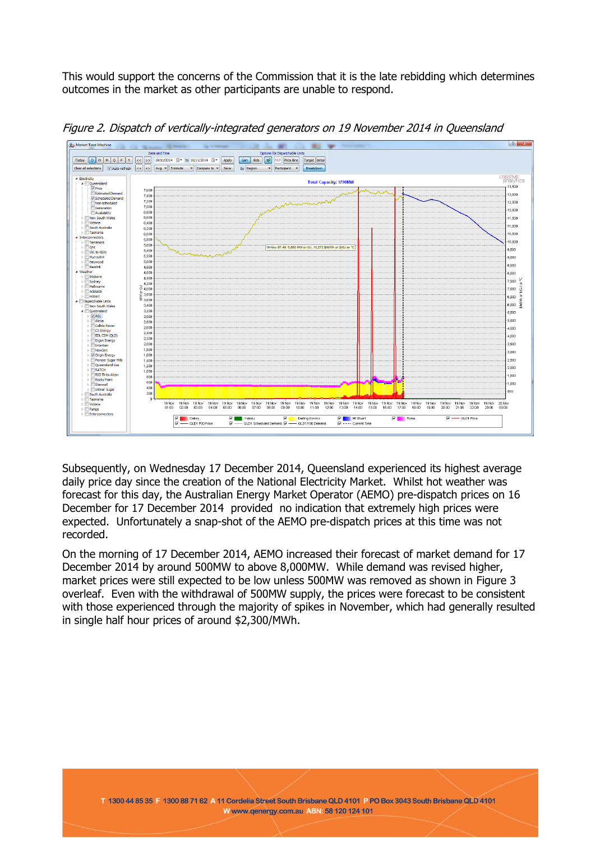This would support the concerns of the Commission that it is the late rebidding which determines outcomes in the market as other participants are unable to respond.



Figure 2. Dispatch of vertically-integrated generators on 19 November 2014 in Queensland

Subsequently, on Wednesday 17 December 2014, Queensland experienced its highest average daily price day since the creation of the National Electricity Market. Whilst hot weather was forecast for this day, the Australian Energy Market Operator (AEMO) pre-dispatch prices on 16 December for 17 December 2014 provided no indication that extremely high prices were expected. Unfortunately a snap-shot of the AEMO pre-dispatch prices at this time was not recorded.

On the morning of 17 December 2014, AEMO increased their forecast of market demand for 17 December 2014 by around 500MW to above 8,000MW. While demand was revised higher, market prices were still expected to be low unless 500MW was removed as shown in Figure 3 overleaf. Even with the withdrawal of 500MW supply, the prices were forecast to be consistent with those experienced through the majority of spikes in November, which had generally resulted in single half hour prices of around \$2,300/MWh.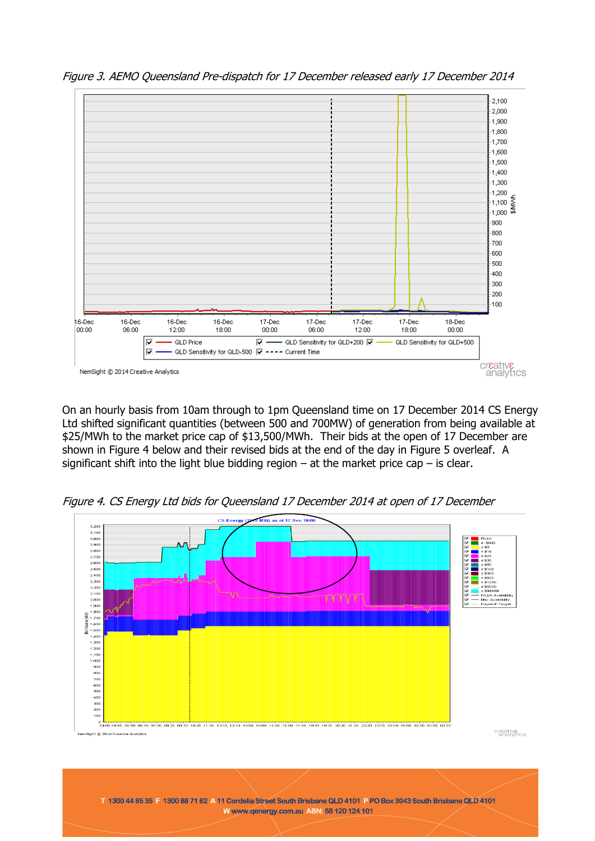

Figure 3. AEMO Queensland Pre-dispatch for 17 December released early 17 December 2014

On an hourly basis from 10am through to 1pm Queensland time on 17 December 2014 CS Energy Ltd shifted significant quantities (between 500 and 700MW) of generation from being available at \$25/MWh to the market price cap of \$13,500/MWh. Their bids at the open of 17 December are shown in Figure 4 below and their revised bids at the end of the day in Figure 5 overleaf. A significant shift into the light blue bidding region  $-$  at the market price cap  $-$  is clear.

Figure 4. CS Energy Ltd bids for Queensland 17 December 2014 at open of 17 December

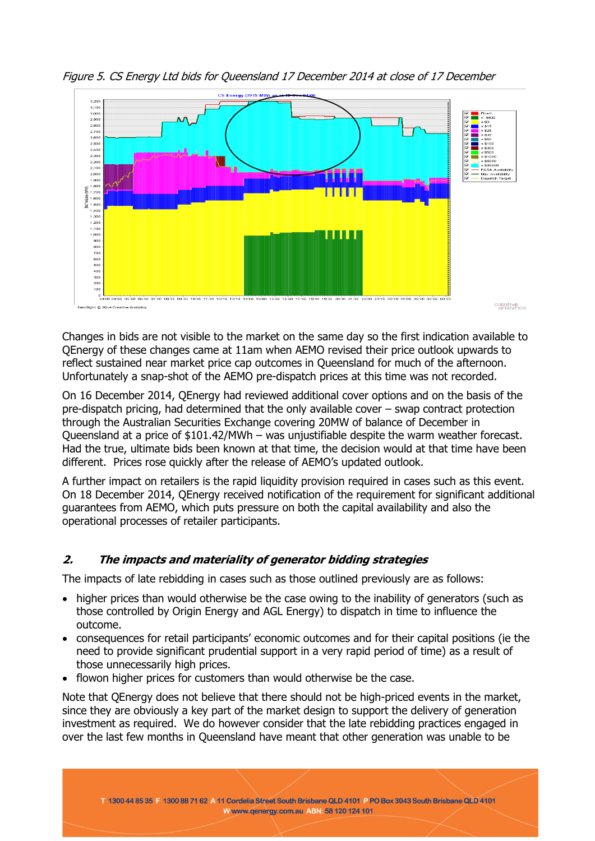

Figure 5. CS Energy Ltd bids for Queensland 17 December 2014 at close of 17 December

Changes in bids are not visible to the market on the same day so the first indication available to QEnergy of these changes came at 11am when AEMO revised their price outlook upwards to reflect sustained near market price cap outcomes in Queensland for much of the afternoon. Unfortunately a snap-shot of the AEMO pre-dispatch prices at this time was not recorded.

On 16 December 2014, QEnergy had reviewed additional cover options and on the basis of the pre-dispatch pricing, had determined that the only available cover – swap contract protection through the Australian Securities Exchange covering 20MW of balance of December in Queensland at a price of \$101.42/MWh – was unjustifiable despite the warm weather forecast. Had the true, ultimate bids been known at that time, the decision would at that time have been different. Prices rose quickly after the release of AEMO's updated outlook.

A further impact on retailers is the rapid liquidity provision required in cases such as this event. On 18 December 2014, QEnergy received notification of the requirement for significant additional guarantees from AEMO, which puts pressure on both the capital availability and also the operational processes of retailer participants.

# **2. The impacts and materiality of generator bidding strategies**

The impacts of late rebidding in cases such as those outlined previously are as follows:

- higher prices than would otherwise be the case owing to the inability of generators (such as those controlled by Origin Energy and AGL Energy) to dispatch in time to influence the outcome.
- consequences for retail participants' economic outcomes and for their capital positions (ie the need to provide significant prudential support in a very rapid period of time) as a result of those unnecessarily high prices.
- flowon higher prices for customers than would otherwise be the case.

Note that QEnergy does not believe that there should not be high-priced events in the market, since they are obviously a key part of the market design to support the delivery of generation investment as required. We do however consider that the late rebidding practices engaged in over the last few months in Queensland have meant that other generation was unable to be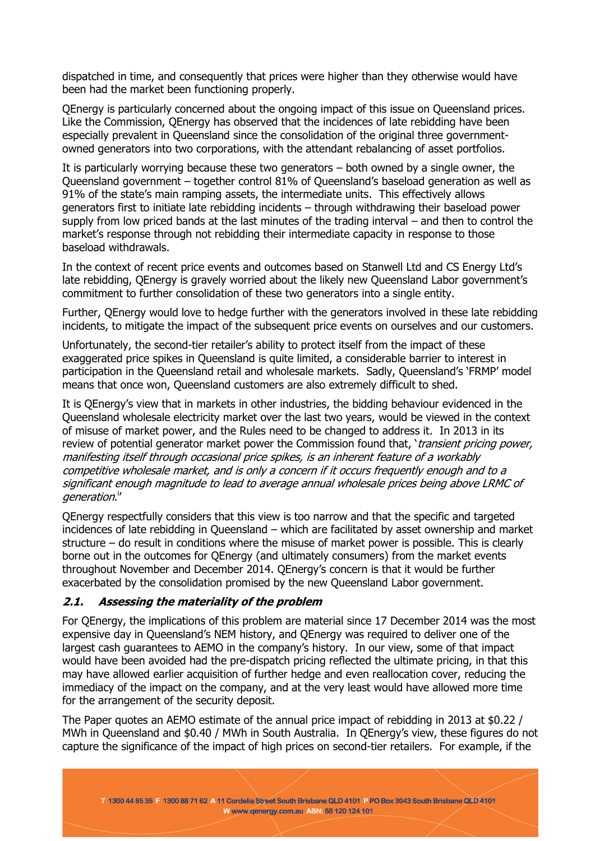dispatched in time, and consequently that prices were higher than they otherwise would have been had the market been functioning properly.

QEnergy is particularly concerned about the ongoing impact of this issue on Queensland prices. Like the Commission, QEnergy has observed that the incidences of late rebidding have been especially prevalent in Queensland since the consolidation of the original three governmentowned generators into two corporations, with the attendant rebalancing of asset portfolios.

It is particularly worrying because these two generators – both owned by a single owner, the Queensland government – together control 81% of Queensland's baseload generation as well as 91% of the state's main ramping assets, the intermediate units. This effectively allows generators first to initiate late rebidding incidents – through withdrawing their baseload power supply from low priced bands at the last minutes of the trading interval – and then to control the market's response through not rebidding their intermediate capacity in response to those baseload withdrawals.

In the context of recent price events and outcomes based on Stanwell Ltd and CS Energy Ltd's late rebidding, QEnergy is gravely worried about the likely new Queensland Labor government's commitment to further consolidation of these two generators into a single entity.

Further, QEnergy would love to hedge further with the generators involved in these late rebidding incidents, to mitigate the impact of the subsequent price events on ourselves and our customers.

Unfortunately, the second-tier retailer's ability to protect itself from the impact of these exaggerated price spikes in Queensland is quite limited, a considerable barrier to interest in participation in the Queensland retail and wholesale markets. Sadly, Queensland's 'FRMP' model means that once won, Queensland customers are also extremely difficult to shed.

It is QEnergy's view that in markets in other industries, the bidding behaviour evidenced in the Queensland wholesale electricity market over the last two years, would be viewed in the context of misuse of market power, and the Rules need to be changed to address it. In 2013 in its review of potential generator market power the Commission found that, 'transient pricing power, manifesting itself through occasional price spikes, is an inherent feature of a workably competitive wholesale market, and is only a concern if it occurs frequently enough and to a significant enough magnitude to lead to average annual wholesale prices being above LRMC of generation."

QEnergy respectfully considers that this view is too narrow and that the specific and targeted incidences of late rebidding in Queensland – which are facilitated by asset ownership and market structure – do result in conditions where the misuse of market power is possible. This is clearly borne out in the outcomes for QEnergy (and ultimately consumers) from the market events throughout November and December 2014. QEnergy's concern is that it would be further exacerbated by the consolidation promised by the new Queensland Labor government.

#### **2.1. Assessing the materiality of the problem**

For QEnergy, the implications of this problem are material since 17 December 2014 was the most expensive day in Queensland's NEM history, and QEnergy was required to deliver one of the largest cash guarantees to AEMO in the company's history. In our view, some of that impact would have been avoided had the pre-dispatch pricing reflected the ultimate pricing, in that this may have allowed earlier acquisition of further hedge and even reallocation cover, reducing the immediacy of the impact on the company, and at the very least would have allowed more time for the arrangement of the security deposit.

The Paper quotes an AEMO estimate of the annual price impact of rebidding in 2013 at \$0.22 / MWh in Queensland and \$0.40 / MWh in South Australia. In QEnergy's view, these figures do not capture the significance of the impact of high prices on second-tier retailers. For example, if the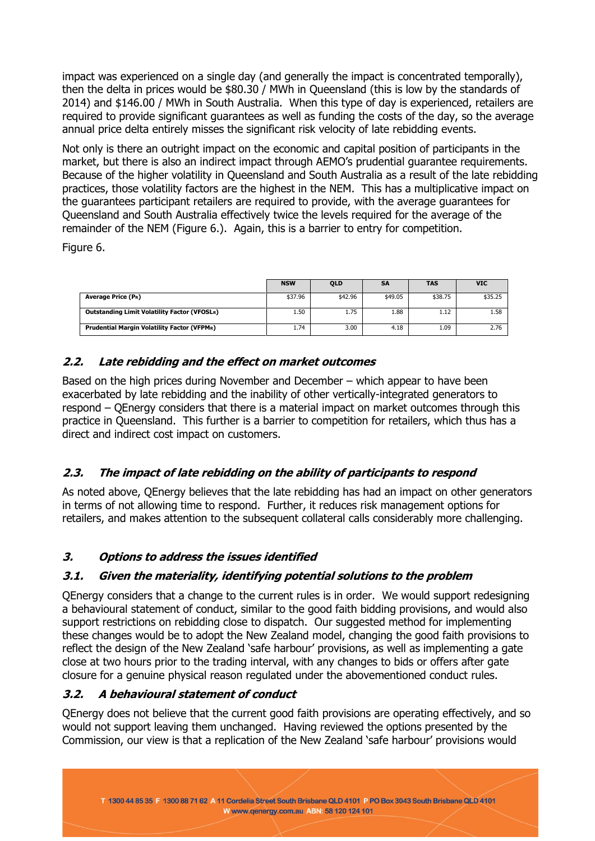impact was experienced on a single day (and generally the impact is concentrated temporally), then the delta in prices would be \$80.30 / MWh in Queensland (this is low by the standards of 2014) and \$146.00 / MWh in South Australia. When this type of day is experienced, retailers are required to provide significant guarantees as well as funding the costs of the day, so the average annual price delta entirely misses the significant risk velocity of late rebidding events.

Not only is there an outright impact on the economic and capital position of participants in the market, but there is also an indirect impact through AEMO's prudential guarantee requirements. Because of the higher volatility in Queensland and South Australia as a result of the late rebidding practices, those volatility factors are the highest in the NEM. This has a multiplicative impact on the guarantees participant retailers are required to provide, with the average guarantees for Queensland and South Australia effectively twice the levels required for the average of the remainder of the NEM (Figure 6.). Again, this is a barrier to entry for competition.

Figure 6.

|                                                     | <b>NSW</b> | <b>QLD</b> | <b>SA</b> | <b>TAS</b> | <b>VIC</b> |
|-----------------------------------------------------|------------|------------|-----------|------------|------------|
|                                                     |            |            |           |            |            |
| <b>Average Price (PR)</b>                           | \$37.96    | \$42.96    | \$49.05   | \$38.75    | \$35.25    |
|                                                     |            |            |           |            |            |
| <b>Outstanding Limit Volatility Factor (VFOSLR)</b> | 1.50       | 1.75       | 1.88      | 1.12       | 1.58       |
|                                                     |            |            |           |            |            |
| <b>Prudential Margin Volatility Factor (VFPMR)</b>  | 1.74       | 3.00       | 4.18      | 1.09       | 2.76       |
|                                                     |            |            |           |            |            |

## **2.2. Late rebidding and the effect on market outcomes**

Based on the high prices during November and December – which appear to have been exacerbated by late rebidding and the inability of other vertically-integrated generators to respond – QEnergy considers that there is a material impact on market outcomes through this practice in Queensland. This further is a barrier to competition for retailers, which thus has a direct and indirect cost impact on customers.

# **2.3. The impact of late rebidding on the ability of participants to respond**

As noted above, QEnergy believes that the late rebidding has had an impact on other generators in terms of not allowing time to respond. Further, it reduces risk management options for retailers, and makes attention to the subsequent collateral calls considerably more challenging.

## **3. Options to address the issues identified**

## **3.1. Given the materiality, identifying potential solutions to the problem**

QEnergy considers that a change to the current rules is in order. We would support redesigning a behavioural statement of conduct, similar to the good faith bidding provisions, and would also support restrictions on rebidding close to dispatch. Our suggested method for implementing these changes would be to adopt the New Zealand model, changing the good faith provisions to reflect the design of the New Zealand 'safe harbour' provisions, as well as implementing a gate close at two hours prior to the trading interval, with any changes to bids or offers after gate closure for a genuine physical reason regulated under the abovementioned conduct rules.

## **3.2. A behavioural statement of conduct**

QEnergy does not believe that the current good faith provisions are operating effectively, and so would not support leaving them unchanged. Having reviewed the options presented by the Commission, our view is that a replication of the New Zealand 'safe harbour' provisions would